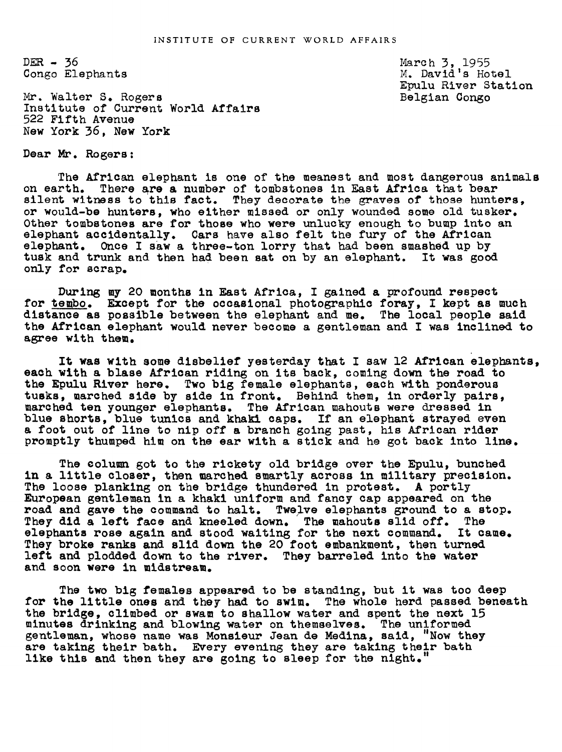$DER - 36$ Congo Elephants

Mr. Walter S. Rogers Institute of Current World Affairs 522 Fifth Avenue New York 36, New York

Dear Mr. Rogers:

The African elephant is one of the meanest and most dangerous animals on earth. There are & number of tombstones in East Africa that bear silent witness to this fact. They decorate the graves of those hunters, or would-be hunters, who either missed or only wounded some old tusker. Other tombstones are for those who were unlucky enough to bump into an elephant accidentally. Cars have also felt the fury of the African elephant. Once I saw a three-ton lorry that had been smashed up by tusk and trunk and then had been sat on by an elephant. It was good only for scrap.

During my 20 months in East Africa, I gained a profound respect for tembo. Except for the occasional photographic foray, I kept as much distance as possible between the elephant and me. The local people said the African elephant would never become a gentleman and I was inclined to agree with them.

It was with some disbelief yesterday that I saw 12 African elephants, each with a blase African riding on its back, coming down the road to the Epulu River here. Two big female elephants, each with ponderous tusks, marched side by side in front. Behind them, in orderly pairs, marched ten younger elephants. The African mahouts were dressed in blue shorts, blue tunics and khaki caps. If an elephant strayed even a foot out of line to nip off a branch going past, his African rider promptly thumped him on the ear with a stick and he got back into line.

The column got to the rickety old bridge over the Epulu, bunched in a little closer, then marched smartly across in military precision. The loose planking on the bridge thundered in protest. A portly European gentleman in a khaki uniform and fancy cap appeared on the road and gave the command to halt. Twelve elephants ground to a stop. They did a left face and kneeled down. The mahouts slid off. The elephants rose again and stood waiting for the next command. It came. They broke ranks and slld down the 20 foot embankment, then turned left and plodded down to the river. They barreled into the water and soon were in midstream.

The two big females appeared to be standing, but it was too deep for the little ones and they had to swim. The whole herd passed beneath the bridge, climbed or swam to shallow water and spent the next 15 minutes drinking and blowing water on themselves. The uniformed gentleman, whose name was Monsieur Jean de Medina, said, "Now they are taking their bath. Every evening they are taking their bath like this and then they are golng to sleep for the night."

March 3, 1955 M. David's Hotel Epulu River Station Belgian Congo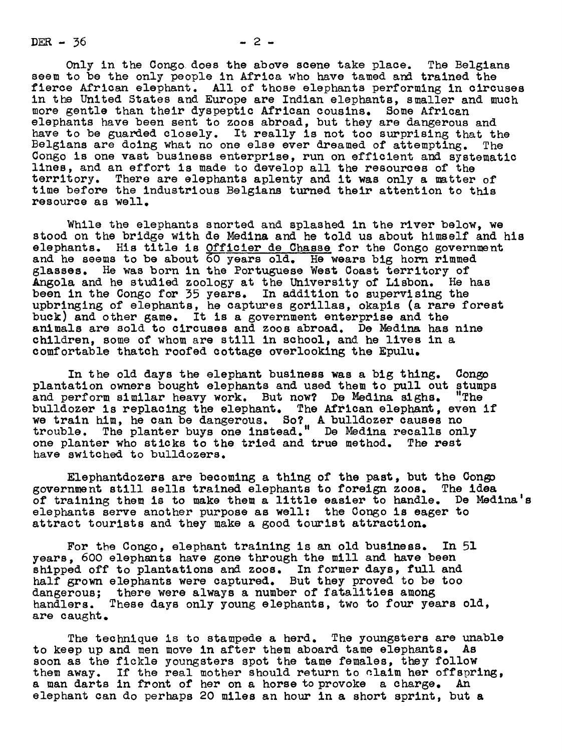DER  $-36$ 

Only in the Congo does the above scene take place. The Belgians<br>to be the only people in Africa who have tamed and trained the seem to be the only people in Africa who have tamed and trained the fierce African elephant. All of those elephants performing in circuses in the United States and Europe are Indian elephants, smaller and much more gentle than their dyspeptic African cousins. Some African elephants have been sent to zoos abroad, but they are dangerous and have to be guarded closely. It really is not too surprising that the Belgians are doing what no one else ever dreamed of attempting. The Belgians are doing what no one else ever dreamed of attempting. Congo is one vast business enterprise, run on efficient and systematic lines, and an effort is made to develop all the resources of the territory. There are elephants aplenty and it was only a matter of time before the industrious Belgians turned their attention to this resource as well.

While the elephants snorted and splashed in the river below, we stood on the bridge with de Medina and he told us about himself and his elephants. His title is Officier de Chasse for the Congo government and he seems to be about  $\overline{60}$  years old. He wears big horn rimmed glasses. He was born in the Portuguese West Coast territory of Angola and he studied zoology at the biversity of Lisbon. He has been in the Congo for 35 years. In addition to supervising the upbringing of elephants, he captures gorillas, okapis (a rare forest buck) and other game. It is a government enterprise and the animals are sold to circuses and zoos abroad. De Medina has nine children, some of whom are still in school, and he lives in a comfortable thatch roofed cottage overlooking the Epulu.

In the old days the elephant business was a big thing. Congo plantation owners bought elephants and used them to pull out stumps and perform similar heavy work. But now? De Medina sighs. "The and perform similar heavy work. But now? De Medina sighs. bulldozer is replacing the elephant. The African elephant, even if we train him, he can be dangerous. So? A bulldozer causes no trouble. The planter buys one instead." De Medina recalls only one planter who sticks to the tried and true method. The rest have switched to bulldozers.

Elephantdozers are becoming a thing of the past, but the Congo government still sells trained elephants to foreign zoos. The idea of training them is to make them a little easier to handle. De Medina's elephants serve another purpose as well: the Congo is eager to attract tourists and they make a good tourist attraction.

For the Congo, elephant training is an old business. In 51 years, 600 elephants have gone through the mill and have been shipped off to plantations and zoos. In former days, full and half grown elephants were captured. But they proved to be too dangerous; there were always a number of fatalities among handlers. These days only young elephants, two to four years old, are caught.

The technique is to stampede a herd. The youngsters are unable to keep up and men move in after them aboard tame elephants. As soon as the fickle youngsters spot the tame females, they follow them away. If the real mother should return to claim her offspring, a man darts in front of her on a horse to provoke a charge. An elephant can do perhaps 20 miles an hour in a short sprint, but a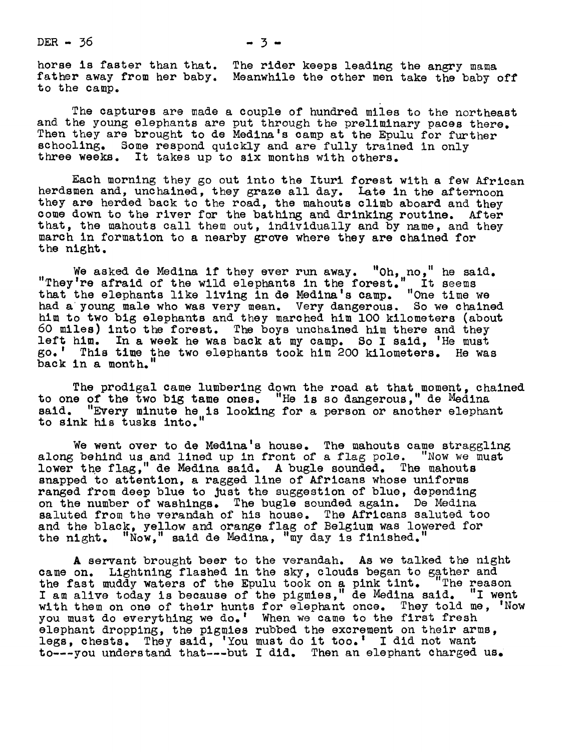$DER - 36$   $- 3 - 3$ 

to the camp.

The captures are made a couple of hundred miles to the northeast and the young elephants are put through the preliminary paces there. Then they are brought to de Medina's camp at the Epulu for further schooling. Some respond quickly and are fully trained in only three weeks. It takes up to six months with others.

Each morning they go out into the Ituri forest with a few African herdsmen and, unchained, they graze all day. Late in the afternoon they are herded back to the road, the mahouts climb aboard and they come down to the river for the bathing and drinking routine. After that, the mahouts call them out, individually and by name, and they march in formation to a nearby grove where they are chained for the night.

We asked de Medina if they ever run away. "Oh, no," he said. I're afraid of the wild elephants in the forest." It seems that the elephants like living in de Medina's camp. "One time we had a young male who was very mean. Very daugerous. So we chained him to two big elephants and they marched him 100 kilometers (about 60 miles) into the forest. The boys unchained him there and they left him. In a week he was back at my camp. So I said, 'He must go.' This time the two elephants took him 2OO kilometers. He was back in a month.

The prodigal came lumbering down the road at that moment, chained to one of the two big tame ones. "He is so daugerous," de Medina said. "Every minute he is looking for a person or another elephant to sink his tusks into."

We went over to de Medina's house. The mahouts came straggling along behind us and lined up in front of a flag pole. "Now we must lower the flag," de Medina said. A bugle sounded. The mahouts snapped to attention, a ragged line of Africans whose uniforms ranged from deep blue to just the suggestion of blue, depending on the number of washings. The bugle sounded again. De Medina saluted from the verandah of his house. The Africans saluted too and the black, yellow and orange flag of Belgium was lowered for the night. "Now," said de Medina, "my day is finished."

A servant brought beer to the verandah. As we talked the nigh came on. Lightning flashed in the sky, clouds began to gather and the fast muddy waters of the Epulu took on a pink tint. The reason I am alive today is because of the pigmies," de Medina said. "I went with them on one of their hunts for elephant once. They told me, 'Now you must do everything we do.' When we came to the first fresh elephant dropping, the pigmies rubbed the excrement on their arms. legs, chests. They said, 'You must do it too.' I did not want to---you understand that---but I did. Then an elephant charged us.